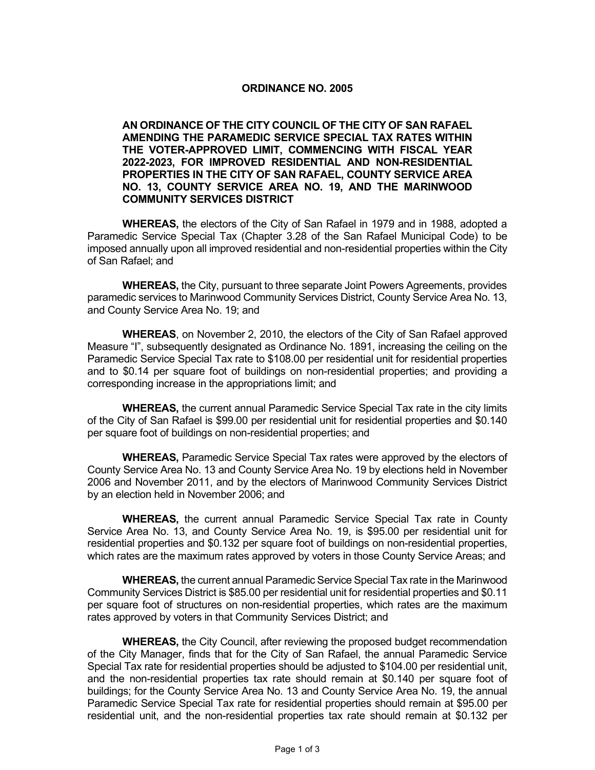## **ORDINANCE NO. 2005**

**AN ORDINANCE OF THE CITY COUNCIL OF THE CITY OF SAN RAFAEL AMENDING THE PARAMEDIC SERVICE SPECIAL TAX RATES WITHIN THE VOTER-APPROVED LIMIT, COMMENCING WITH FISCAL YEAR 2022-2023, FOR IMPROVED RESIDENTIAL AND NON-RESIDENTIAL PROPERTIES IN THE CITY OF SAN RAFAEL, COUNTY SERVICE AREA NO. 13, COUNTY SERVICE AREA NO. 19, AND THE MARINWOOD COMMUNITY SERVICES DISTRICT** 

**WHEREAS,** the electors of the City of San Rafael in 1979 and in 1988, adopted a Paramedic Service Special Tax (Chapter 3.28 of the San Rafael Municipal Code) to be imposed annually upon all improved residential and non-residential properties within the City of San Rafael; and

**WHEREAS,** the City, pursuant to three separate Joint Powers Agreements, provides paramedic services to Marinwood Community Services District, County Service Area No. 13, and County Service Area No. 19; and

**WHEREAS**, on November 2, 2010, the electors of the City of San Rafael approved Measure "I", subsequently designated as Ordinance No. 1891, increasing the ceiling on the Paramedic Service Special Tax rate to \$108.00 per residential unit for residential properties and to \$0.14 per square foot of buildings on non-residential properties; and providing a corresponding increase in the appropriations limit; and

**WHEREAS,** the current annual Paramedic Service Special Tax rate in the city limits of the City of San Rafael is \$99.00 per residential unit for residential properties and \$0.140 per square foot of buildings on non-residential properties; and

**WHEREAS,** Paramedic Service Special Tax rates were approved by the electors of County Service Area No. 13 and County Service Area No. 19 by elections held in November 2006 and November 2011, and by the electors of Marinwood Community Services District by an election held in November 2006; and

**WHEREAS,** the current annual Paramedic Service Special Tax rate in County Service Area No. 13, and County Service Area No. 19, is \$95.00 per residential unit for residential properties and \$0.132 per square foot of buildings on non-residential properties, which rates are the maximum rates approved by voters in those County Service Areas; and

**WHEREAS,** the current annual Paramedic Service Special Tax rate in the Marinwood Community Services District is \$85.00 per residential unit for residential properties and \$0.11 per square foot of structures on non-residential properties, which rates are the maximum rates approved by voters in that Community Services District; and

**WHEREAS,** the City Council, after reviewing the proposed budget recommendation of the City Manager, finds that for the City of San Rafael, the annual Paramedic Service Special Tax rate for residential properties should be adjusted to \$104.00 per residential unit, and the non-residential properties tax rate should remain at \$0.140 per square foot of buildings; for the County Service Area No. 13 and County Service Area No. 19, the annual Paramedic Service Special Tax rate for residential properties should remain at \$95.00 per residential unit, and the non-residential properties tax rate should remain at \$0.132 per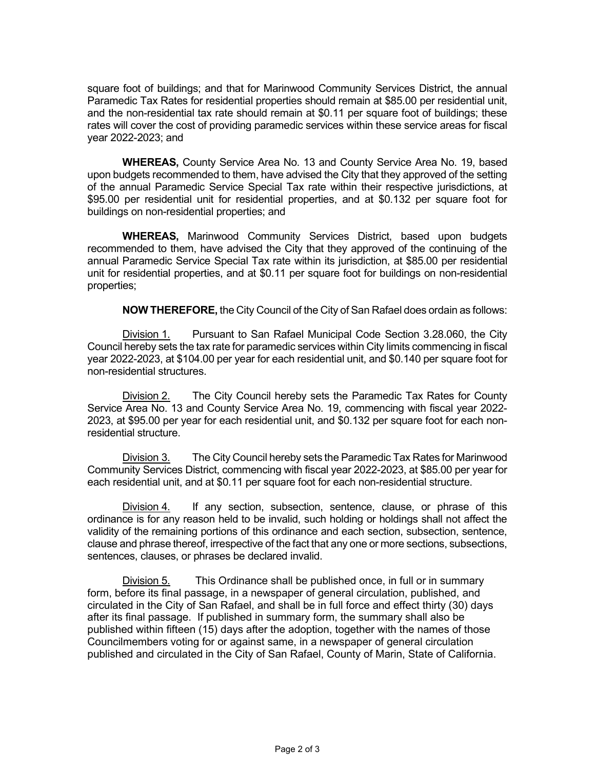square foot of buildings; and that for Marinwood Community Services District, the annual Paramedic Tax Rates for residential properties should remain at \$85.00 per residential unit, and the non-residential tax rate should remain at \$0.11 per square foot of buildings; these rates will cover the cost of providing paramedic services within these service areas for fiscal year 2022-2023; and

**WHEREAS,** County Service Area No. 13 and County Service Area No. 19, based upon budgets recommended to them, have advised the City that they approved of the setting of the annual Paramedic Service Special Tax rate within their respective jurisdictions, at \$95.00 per residential unit for residential properties, and at \$0.132 per square foot for buildings on non-residential properties; and

**WHEREAS,** Marinwood Community Services District, based upon budgets recommended to them, have advised the City that they approved of the continuing of the annual Paramedic Service Special Tax rate within its jurisdiction, at \$85.00 per residential unit for residential properties, and at \$0.11 per square foot for buildings on non-residential properties;

**NOW THEREFORE,** the City Council of the City of San Rafael does ordain as follows:

Division 1. Pursuant to San Rafael Municipal Code Section 3.28.060, the City Council hereby sets the tax rate for paramedic services within City limits commencing in fiscal year 2022-2023, at \$104.00 per year for each residential unit, and \$0.140 per square foot for non-residential structures.

Division 2. The City Council hereby sets the Paramedic Tax Rates for County Service Area No. 13 and County Service Area No. 19, commencing with fiscal year 2022- 2023, at \$95.00 per year for each residential unit, and \$0.132 per square foot for each nonresidential structure.

Division 3. The City Council hereby sets the Paramedic Tax Rates for Marinwood Community Services District, commencing with fiscal year 2022-2023, at \$85.00 per year for each residential unit, and at \$0.11 per square foot for each non-residential structure.

Division 4. If any section, subsection, sentence, clause, or phrase of this ordinance is for any reason held to be invalid, such holding or holdings shall not affect the validity of the remaining portions of this ordinance and each section, subsection, sentence, clause and phrase thereof, irrespective of the fact that any one or more sections, subsections, sentences, clauses, or phrases be declared invalid.

Division 5. This Ordinance shall be published once, in full or in summary form, before its final passage, in a newspaper of general circulation, published, and circulated in the City of San Rafael, and shall be in full force and effect thirty (30) days after its final passage. If published in summary form, the summary shall also be published within fifteen (15) days after the adoption, together with the names of those Councilmembers voting for or against same, in a newspaper of general circulation published and circulated in the City of San Rafael, County of Marin, State of California.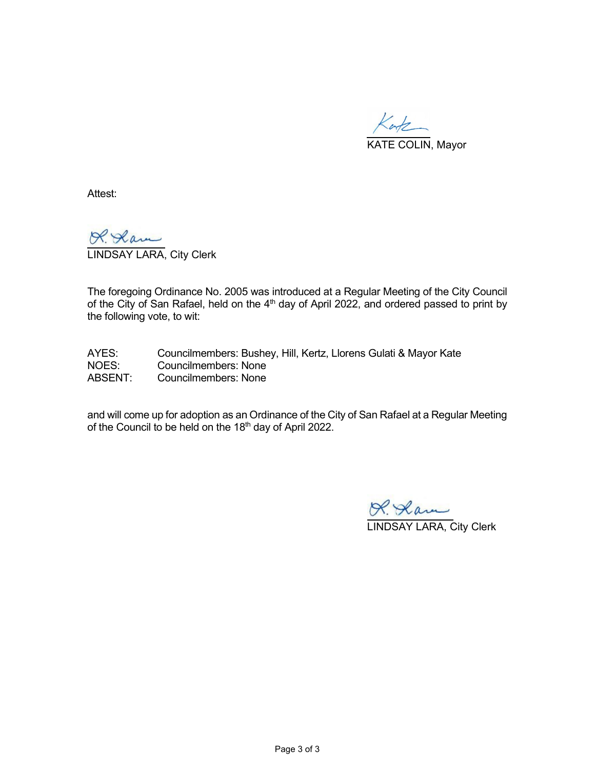

Attest:

LINDSAY LARA, City Clerk

The foregoing Ordinance No. 2005 was introduced at a Regular Meeting of the City Council of the City of San Rafael, held on the  $4<sup>th</sup>$  day of April 2022, and ordered passed to print by the following vote, to wit:

AYES: Councilmembers: Bushey, Hill, Kertz, Llorens Gulati & Mayor Kate<br>NOES: Councilmembers: None Councilmembers: None ABSENT: Councilmembers: None

and will come up for adoption as an Ordinance of the City of San Rafael at a Regular Meeting of the Council to be held on the 18<sup>th</sup> day of April 2022.

LINDSAY LARA, City Clerk